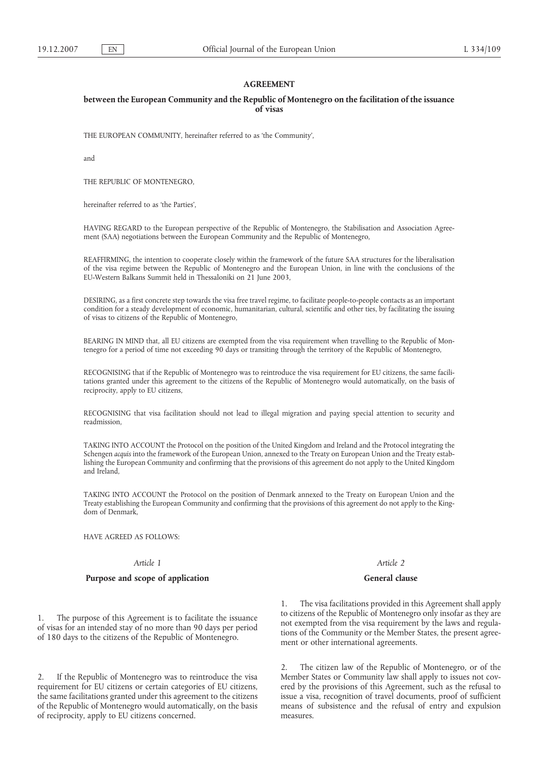## **AGREEMENT**

### **between the European Community and the Republic of Montenegro on the facilitation of the issuance of visas**

THE EUROPEAN COMMUNITY, hereinafter referred to as 'the Community',

and

THE REPUBLIC OF MONTENEGRO,

hereinafter referred to as 'the Parties',

HAVING REGARD to the European perspective of the Republic of Montenegro, the Stabilisation and Association Agreement (SAA) negotiations between the European Community and the Republic of Montenegro,

REAFFIRMING, the intention to cooperate closely within the framework of the future SAA structures for the liberalisation of the visa regime between the Republic of Montenegro and the European Union, in line with the conclusions of the EU-Western Balkans Summit held in Thessaloniki on 21 June 2003,

DESIRING, as a first concrete step towards the visa free travel regime, to facilitate people-to-people contacts as an important condition for a steady development of economic, humanitarian, cultural, scientific and other ties, by facilitating the issuing of visas to citizens of the Republic of Montenegro,

BEARING IN MIND that, all EU citizens are exempted from the visa requirement when travelling to the Republic of Montenegro for a period of time not exceeding 90 days or transiting through the territory of the Republic of Montenegro,

RECOGNISING that if the Republic of Montenegro was to reintroduce the visa requirement for EU citizens, the same facilitations granted under this agreement to the citizens of the Republic of Montenegro would automatically, on the basis of reciprocity, apply to EU citizens,

RECOGNISING that visa facilitation should not lead to illegal migration and paying special attention to security and readmission,

TAKING INTO ACCOUNT the Protocol on the position of the United Kingdom and Ireland and the Protocol integrating the Schengen *acquis* into the framework of the European Union, annexed to the Treaty on European Union and the Treaty establishing the European Community and confirming that the provisions of this agreement do not apply to the United Kingdom and Ireland,

TAKING INTO ACCOUNT the Protocol on the position of Denmark annexed to the Treaty on European Union and the Treaty establishing the European Community and confirming that the provisions of this agreement do not apply to the Kingdom of Denmark,

HAVE AGREED AS FOLLOWS:

#### *Article 1*

## **Purpose and scope of application**

1. The purpose of this Agreement is to facilitate the issuance of visas for an intended stay of no more than 90 days per period of 180 days to the citizens of the Republic of Montenegro.

2. If the Republic of Montenegro was to reintroduce the visa requirement for EU citizens or certain categories of EU citizens, the same facilitations granted under this agreement to the citizens of the Republic of Montenegro would automatically, on the basis of reciprocity, apply to EU citizens concerned.

*Article 2*

### **General clause**

1. The visa facilitations provided in this Agreement shall apply to citizens of the Republic of Montenegro only insofar as they are not exempted from the visa requirement by the laws and regulations of the Community or the Member States, the present agreement or other international agreements.

2. The citizen law of the Republic of Montenegro, or of the Member States or Community law shall apply to issues not covered by the provisions of this Agreement, such as the refusal to issue a visa, recognition of travel documents, proof of sufficient means of subsistence and the refusal of entry and expulsion measures.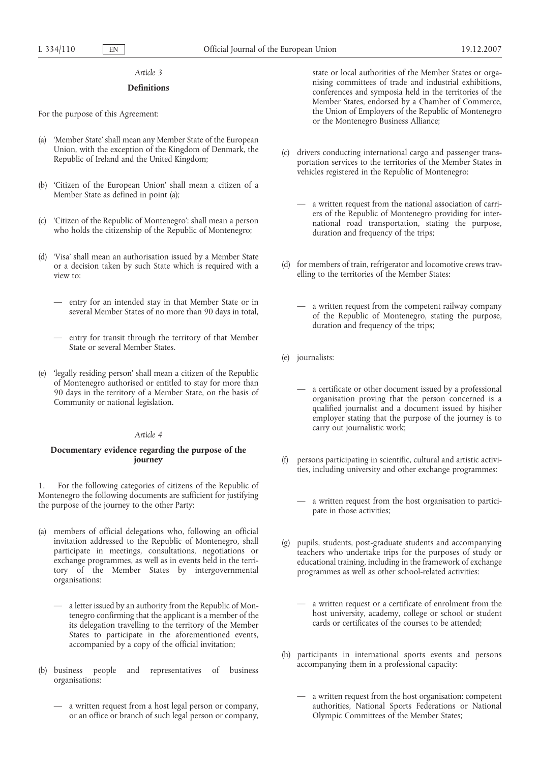#### *Article 3*

#### **Definitions**

For the purpose of this Agreement:

- (a) 'Member State' shall mean any Member State of the European Union, with the exception of the Kingdom of Denmark, the Republic of Ireland and the United Kingdom;
- (b) 'Citizen of the European Union' shall mean a citizen of a Member State as defined in point (a);
- (c) 'Citizen of the Republic of Montenegro': shall mean a person who holds the citizenship of the Republic of Montenegro;
- (d) 'Visa' shall mean an authorisation issued by a Member State or a decision taken by such State which is required with a view to:
	- entry for an intended stay in that Member State or in several Member States of no more than 90 days in total,
	- entry for transit through the territory of that Member State or several Member States.
- (e) 'legally residing person' shall mean a citizen of the Republic of Montenegro authorised or entitled to stay for more than 90 days in the territory of a Member State, on the basis of Community or national legislation.

### *Article 4*

## **Documentary evidence regarding the purpose of the journey**

1. For the following categories of citizens of the Republic of Montenegro the following documents are sufficient for justifying the purpose of the journey to the other Party:

- (a) members of official delegations who, following an official invitation addressed to the Republic of Montenegro, shall participate in meetings, consultations, negotiations or exchange programmes, as well as in events held in the territory of the Member States by intergovernmental organisations:
	- a letter issued by an authority from the Republic of Montenegro confirming that the applicant is a member of the its delegation travelling to the territory of the Member States to participate in the aforementioned events, accompanied by a copy of the official invitation;
- (b) business people and representatives of business organisations:
	- a written request from a host legal person or company, or an office or branch of such legal person or company,

state or local authorities of the Member States or organising committees of trade and industrial exhibitions, conferences and symposia held in the territories of the Member States, endorsed by a Chamber of Commerce, the Union of Employers of the Republic of Montenegro or the Montenegro Business Alliance;

- (c) drivers conducting international cargo and passenger transportation services to the territories of the Member States in vehicles registered in the Republic of Montenegro:
	- a written request from the national association of carriers of the Republic of Montenegro providing for international road transportation, stating the purpose, duration and frequency of the trips;
- (d) for members of train, refrigerator and locomotive crews travelling to the territories of the Member States:
	- a written request from the competent railway company of the Republic of Montenegro, stating the purpose, duration and frequency of the trips;
- (e) journalists:
	- a certificate or other document issued by a professional organisation proving that the person concerned is a qualified journalist and a document issued by his/her employer stating that the purpose of the journey is to carry out journalistic work;
- persons participating in scientific, cultural and artistic activities, including university and other exchange programmes:
	- a written request from the host organisation to participate in those activities;
- (g) pupils, students, post-graduate students and accompanying teachers who undertake trips for the purposes of study or educational training, including in the framework of exchange programmes as well as other school-related activities:
	- a written request or a certificate of enrolment from the host university, academy, college or school or student cards or certificates of the courses to be attended;
- (h) participants in international sports events and persons accompanying them in a professional capacity:
	- a written request from the host organisation: competent authorities, National Sports Federations or National Olympic Committees of the Member States;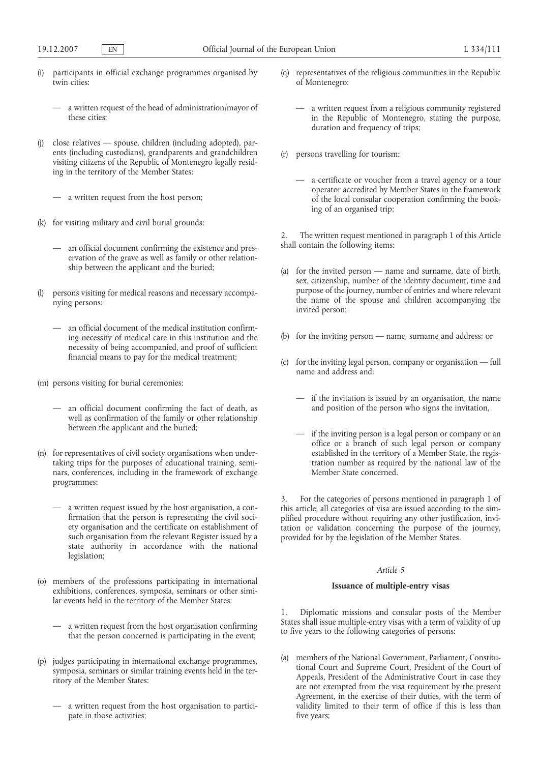- (i) participants in official exchange programmes organised by twin cities:
	- a written request of the head of administration/mayor of these cities;
- (j) close relatives spouse, children (including adopted), parents (including custodians), grandparents and grandchildren visiting citizens of the Republic of Montenegro legally residing in the territory of the Member States:

— a written request from the host person;

- (k) for visiting military and civil burial grounds:
	- an official document confirming the existence and preservation of the grave as well as family or other relationship between the applicant and the buried;
- (l) persons visiting for medical reasons and necessary accompanying persons:
	- an official document of the medical institution confirming necessity of medical care in this institution and the necessity of being accompanied, and proof of sufficient financial means to pay for the medical treatment;
- (m) persons visiting for burial ceremonies:
	- an official document confirming the fact of death, as well as confirmation of the family or other relationship between the applicant and the buried;
- (n) for representatives of civil society organisations when undertaking trips for the purposes of educational training, seminars, conferences, including in the framework of exchange programmes:
	- a written request issued by the host organisation, a confirmation that the person is representing the civil society organisation and the certificate on establishment of such organisation from the relevant Register issued by a state authority in accordance with the national legislation;
- (o) members of the professions participating in international exhibitions, conferences, symposia, seminars or other similar events held in the territory of the Member States:
	- a written request from the host organisation confirming that the person concerned is participating in the event;
- (p) judges participating in international exchange programmes, symposia, seminars or similar training events held in the territory of the Member States:
	- a written request from the host organisation to participate in those activities;
- (q) representatives of the religious communities in the Republic of Montenegro:
	- a written request from a religious community registered in the Republic of Montenegro, stating the purpose, duration and frequency of trips;
- (r) persons travelling for tourism:
	- a certificate or voucher from a travel agency or a tour operator accredited by Member States in the framework of the local consular cooperation confirming the booking of an organised trip;

2. The written request mentioned in paragraph 1 of this Article shall contain the following items:

- (a) for the invited person name and surname, date of birth, sex, citizenship, number of the identity document, time and purpose of the journey, number of entries and where relevant the name of the spouse and children accompanying the invited person;
- (b) for the inviting person name, surname and address; or
- (c) for the inviting legal person, company or organisation full name and address and:
	- if the invitation is issued by an organisation, the name and position of the person who signs the invitation,
	- if the inviting person is a legal person or company or an office or a branch of such legal person or company established in the territory of a Member State, the registration number as required by the national law of the Member State concerned.

3. For the categories of persons mentioned in paragraph 1 of this article, all categories of visa are issued according to the simplified procedure without requiring any other justification, invitation or validation concerning the purpose of the journey, provided for by the legislation of the Member States.

### *Article 5*

### **Issuance of multiple-entry visas**

1. Diplomatic missions and consular posts of the Member States shall issue multiple-entry visas with a term of validity of up to five years to the following categories of persons:

(a) members of the National Government, Parliament, Constitutional Court and Supreme Court, President of the Court of Appeals, President of the Administrative Court in case they are not exempted from the visa requirement by the present Agreement, in the exercise of their duties, with the term of validity limited to their term of office if this is less than five years;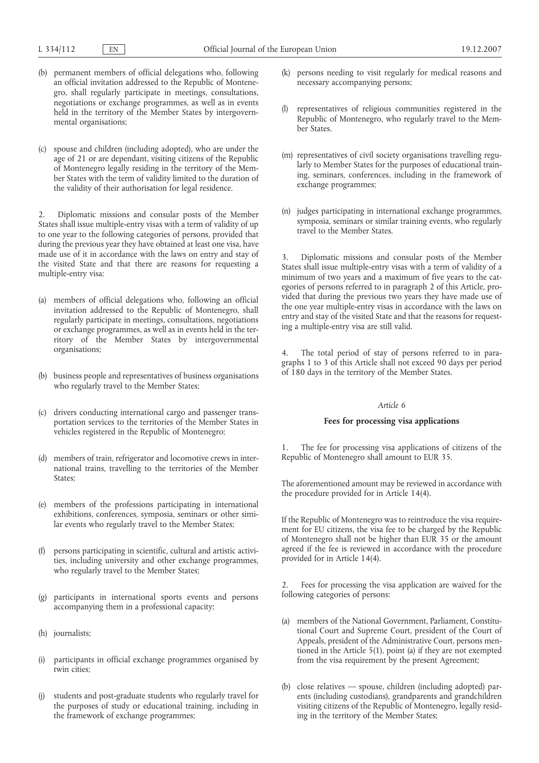- (b) permanent members of official delegations who, following an official invitation addressed to the Republic of Montenegro, shall regularly participate in meetings, consultations, negotiations or exchange programmes, as well as in events held in the territory of the Member States by intergovernmental organisations;
- (c) spouse and children (including adopted), who are under the age of 21 or are dependant, visiting citizens of the Republic of Montenegro legally residing in the territory of the Member States with the term of validity limited to the duration of the validity of their authorisation for legal residence.

2. Diplomatic missions and consular posts of the Member States shall issue multiple-entry visas with a term of validity of up to one year to the following categories of persons, provided that during the previous year they have obtained at least one visa, have made use of it in accordance with the laws on entry and stay of the visited State and that there are reasons for requesting a multiple-entry visa:

- (a) members of official delegations who, following an official invitation addressed to the Republic of Montenegro, shall regularly participate in meetings, consultations, negotiations or exchange programmes, as well as in events held in the territory of the Member States by intergovernmental organisations;
- (b) business people and representatives of business organisations who regularly travel to the Member States;
- (c) drivers conducting international cargo and passenger transportation services to the territories of the Member States in vehicles registered in the Republic of Montenegro;
- (d) members of train, refrigerator and locomotive crews in international trains, travelling to the territories of the Member States;
- (e) members of the professions participating in international exhibitions, conferences, symposia, seminars or other similar events who regularly travel to the Member States;
- (f) persons participating in scientific, cultural and artistic activities, including university and other exchange programmes, who regularly travel to the Member States;
- participants in international sports events and persons accompanying them in a professional capacity;
- (h) journalists;
- (i) participants in official exchange programmes organised by twin cities;
- students and post-graduate students who regularly travel for the purposes of study or educational training, including in the framework of exchange programmes;
- (k) persons needing to visit regularly for medical reasons and necessary accompanying persons;
- representatives of religious communities registered in the Republic of Montenegro, who regularly travel to the Member States.
- (m) representatives of civil society organisations travelling regularly to Member States for the purposes of educational training, seminars, conferences, including in the framework of exchange programmes;
- (n) judges participating in international exchange programmes, symposia, seminars or similar training events, who regularly travel to the Member States.

3. Diplomatic missions and consular posts of the Member States shall issue multiple-entry visas with a term of validity of a minimum of two years and a maximum of five years to the categories of persons referred to in paragraph 2 of this Article, provided that during the previous two years they have made use of the one year multiple-entry visas in accordance with the laws on entry and stay of the visited State and that the reasons for requesting a multiple-entry visa are still valid.

4. The total period of stay of persons referred to in paragraphs 1 to 3 of this Article shall not exceed 90 days per period of 180 days in the territory of the Member States.

### *Article 6*

## **Fees for processing visa applications**

1. The fee for processing visa applications of citizens of the Republic of Montenegro shall amount to EUR 35.

The aforementioned amount may be reviewed in accordance with the procedure provided for in Article 14(4).

If the Republic of Montenegro was to reintroduce the visa requirement for EU citizens, the visa fee to be charged by the Republic of Montenegro shall not be higher than EUR 35 or the amount agreed if the fee is reviewed in accordance with the procedure provided for in Article 14(4).

2. Fees for processing the visa application are waived for the following categories of persons:

- (a) members of the National Government, Parliament, Constitutional Court and Supreme Court, president of the Court of Appeals, president of the Administrative Court, persons mentioned in the Article 5(1), point (a) if they are not exempted from the visa requirement by the present Agreement;
- (b) close relatives spouse, children (including adopted) parents (including custodians), grandparents and grandchildren visiting citizens of the Republic of Montenegro, legally residing in the territory of the Member States;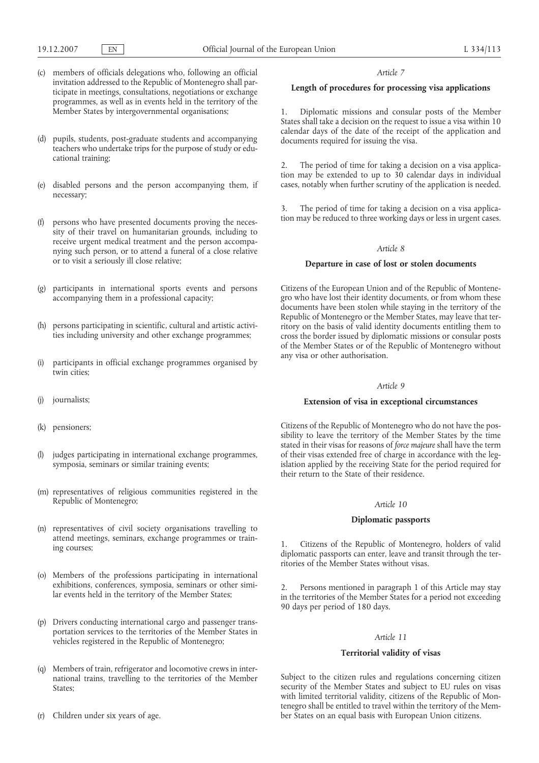- (c) members of officials delegations who, following an official invitation addressed to the Republic of Montenegro shall participate in meetings, consultations, negotiations or exchange programmes, as well as in events held in the territory of the Member States by intergovernmental organisations;
- (d) pupils, students, post-graduate students and accompanying teachers who undertake trips for the purpose of study or educational training;
- (e) disabled persons and the person accompanying them, if necessary;
- (f) persons who have presented documents proving the necessity of their travel on humanitarian grounds, including to receive urgent medical treatment and the person accompanying such person, or to attend a funeral of a close relative or to visit a seriously ill close relative;
- (g) participants in international sports events and persons accompanying them in a professional capacity;
- (h) persons participating in scientific, cultural and artistic activities including university and other exchange programmes;
- (i) participants in official exchange programmes organised by twin cities;
- (j) journalists;
- (k) pensioners;
- (l) judges participating in international exchange programmes, symposia, seminars or similar training events;
- (m) representatives of religious communities registered in the Republic of Montenegro;
- (n) representatives of civil society organisations travelling to attend meetings, seminars, exchange programmes or training courses;
- (o) Members of the professions participating in international exhibitions, conferences, symposia, seminars or other similar events held in the territory of the Member States;
- (p) Drivers conducting international cargo and passenger transportation services to the territories of the Member States in vehicles registered in the Republic of Montenegro;
- (q) Members of train, refrigerator and locomotive crews in international trains, travelling to the territories of the Member States;
- (r) Children under six years of age.

#### *Article 7*

## **Length of procedures for processing visa applications**

1. Diplomatic missions and consular posts of the Member States shall take a decision on the request to issue a visa within 10 calendar days of the date of the receipt of the application and documents required for issuing the visa.

2. The period of time for taking a decision on a visa application may be extended to up to 30 calendar days in individual cases, notably when further scrutiny of the application is needed.

3. The period of time for taking a decision on a visa application may be reduced to three working days or less in urgent cases.

#### *Article 8*

### **Departure in case of lost or stolen documents**

Citizens of the European Union and of the Republic of Montenegro who have lost their identity documents, or from whom these documents have been stolen while staying in the territory of the Republic of Montenegro or the Member States, may leave that territory on the basis of valid identity documents entitling them to cross the border issued by diplomatic missions or consular posts of the Member States or of the Republic of Montenegro without any visa or other authorisation.

### *Article 9*

### **Extension of visa in exceptional circumstances**

Citizens of the Republic of Montenegro who do not have the possibility to leave the territory of the Member States by the time stated in their visas for reasons of *force majeure* shall have the term of their visas extended free of charge in accordance with the legislation applied by the receiving State for the period required for their return to the State of their residence.

### *Article 10*

### **Diplomatic passports**

1. Citizens of the Republic of Montenegro, holders of valid diplomatic passports can enter, leave and transit through the territories of the Member States without visas.

2. Persons mentioned in paragraph 1 of this Article may stay in the territories of the Member States for a period not exceeding 90 days per period of 180 days.

#### *Article 11*

### **Territorial validity of visas**

Subject to the citizen rules and regulations concerning citizen security of the Member States and subject to EU rules on visas with limited territorial validity, citizens of the Republic of Montenegro shall be entitled to travel within the territory of the Member States on an equal basis with European Union citizens.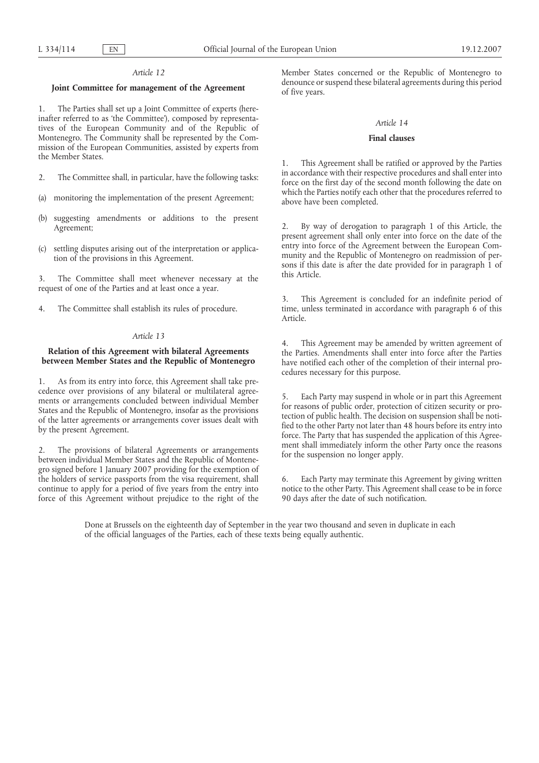### *Article 12*

## **Joint Committee for management of the Agreement**

1. The Parties shall set up a Joint Committee of experts (hereinafter referred to as 'the Committee'), composed by representatives of the European Community and of the Republic of Montenegro. The Community shall be represented by the Commission of the European Communities, assisted by experts from the Member States.

- 2. The Committee shall, in particular, have the following tasks:
- (a) monitoring the implementation of the present Agreement;
- (b) suggesting amendments or additions to the present Agreement;
- (c) settling disputes arising out of the interpretation or application of the provisions in this Agreement.

3. The Committee shall meet whenever necessary at the request of one of the Parties and at least once a year.

4. The Committee shall establish its rules of procedure.

## *Article 13*

## **Relation of this Agreement with bilateral Agreements between Member States and the Republic of Montenegro**

1. As from its entry into force, this Agreement shall take precedence over provisions of any bilateral or multilateral agreements or arrangements concluded between individual Member States and the Republic of Montenegro, insofar as the provisions of the latter agreements or arrangements cover issues dealt with by the present Agreement.

2. The provisions of bilateral Agreements or arrangements between individual Member States and the Republic of Montenegro signed before 1 January 2007 providing for the exemption of the holders of service passports from the visa requirement, shall continue to apply for a period of five years from the entry into force of this Agreement without prejudice to the right of the

Member States concerned or the Republic of Montenegro to denounce or suspend these bilateral agreements during this period of five years.

#### *Article 14*

### **Final clauses**

1. This Agreement shall be ratified or approved by the Parties in accordance with their respective procedures and shall enter into force on the first day of the second month following the date on which the Parties notify each other that the procedures referred to above have been completed.

2. By way of derogation to paragraph 1 of this Article, the present agreement shall only enter into force on the date of the entry into force of the Agreement between the European Community and the Republic of Montenegro on readmission of persons if this date is after the date provided for in paragraph  $\hat{1}$  of this Article.

3. This Agreement is concluded for an indefinite period of time, unless terminated in accordance with paragraph 6 of this Article.

4. This Agreement may be amended by written agreement of the Parties. Amendments shall enter into force after the Parties have notified each other of the completion of their internal procedures necessary for this purpose.

5. Each Party may suspend in whole or in part this Agreement for reasons of public order, protection of citizen security or protection of public health. The decision on suspension shall be notified to the other Party not later than 48 hours before its entry into force. The Party that has suspended the application of this Agreement shall immediately inform the other Party once the reasons for the suspension no longer apply.

6. Each Party may terminate this Agreement by giving written notice to the other Party. This Agreement shall cease to be in force 90 days after the date of such notification.

Done at Brussels on the eighteenth day of September in the year two thousand and seven in duplicate in each of the official languages of the Parties, each of these texts being equally authentic.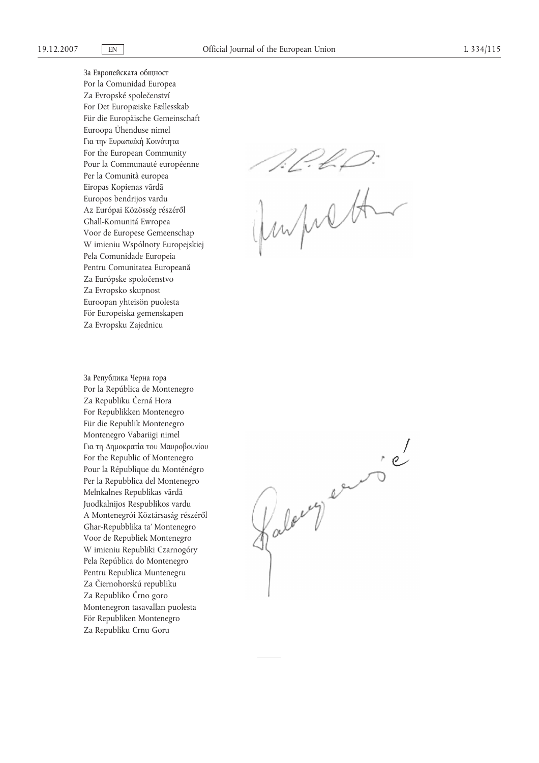За Европейската общност Por la Comunidad Europea Za Evropské společenství For Det Europæiske Fællesskab Für die Europäische Gemeinschaft Euroopa Ühenduse nimel Για την Ευρωπαϊκή Κοινότητα For the European Community Pour la Communauté européenne Per la Comunità europea Eiropas Kopienas vārdā Europos bendrijos vardu Az Európai Közösség részéről Għall-Komunitá Ewropea Voor de Europese Gemeenschap W imieniu Wspólnoty Europejskiej Pela Comunidade Europeia Pentru Comunitatea Europeană Za Európske spoločenstvo Za Evropsko skupnost Euroopan yhteisön puolesta För Europeiska gemenskapen Za Evropsku Zajednicu

За Република Черна гора Por la República de Montenegro Za Republiku Ċerná Hora For Republikken Montenegro Für die Republik Montenegro Montenegro Vabariigi nimel Για τη Δημοκρατία του Μαυροβουνίου For the Republic of Montenegro Pour la République du Monténégro Per la Repubblica del Montenegro Melnkalnes Republikas vārdā Juodkalnijos Respublikos vardu A Montenegrói Köztársaság részéről Għar-Repubblika ta' Montenegro Voor de Republiek Montenegro W imieniu Republiki Czarnogóry Pela República do Montenegro Pentru Republica Muntenegru Za Čiernohorskú republiku Za Republiko Črno goro Montenegron tasavallan puolesta För Republiken Montenegro Za Republiku Crnu Goru

seep

Raleny eurons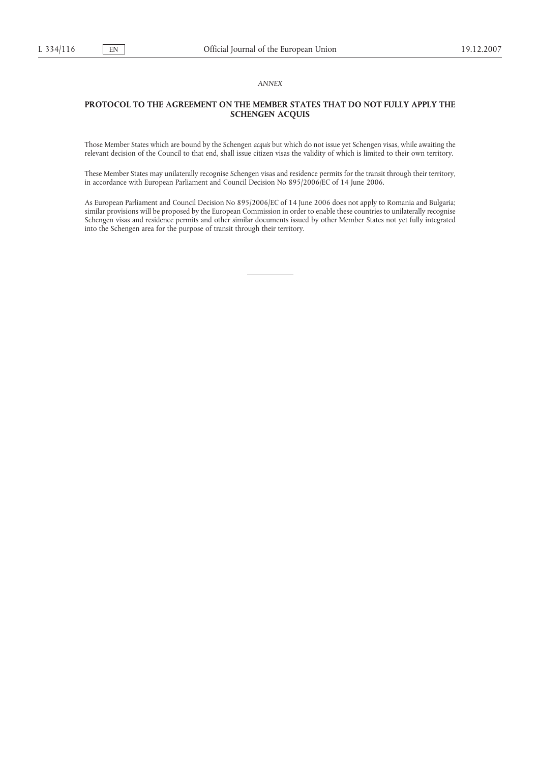### *ANNEX*

## **PROTOCOL TO THE AGREEMENT ON THE MEMBER STATES THAT DO NOT FULLY APPLY THE SCHENGEN ACQUIS**

Those Member States which are bound by the Schengen *acquis* but which do not issue yet Schengen visas, while awaiting the relevant decision of the Council to that end, shall issue citizen visas the validity of which is limited to their own territory.

These Member States may unilaterally recognise Schengen visas and residence permits for the transit through their territory, in accordance with European Parliament and Council Decision No 895/2006/EC of 14 June 2006.

As European Parliament and Council Decision No 895/2006/EC of 14 June 2006 does not apply to Romania and Bulgaria; similar provisions will be proposed by the European Commission in order to enable these countries to unilaterally recognise Schengen visas and residence permits and other similar documents issued by other Member States not yet fully integrated into the Schengen area for the purpose of transit through their territory.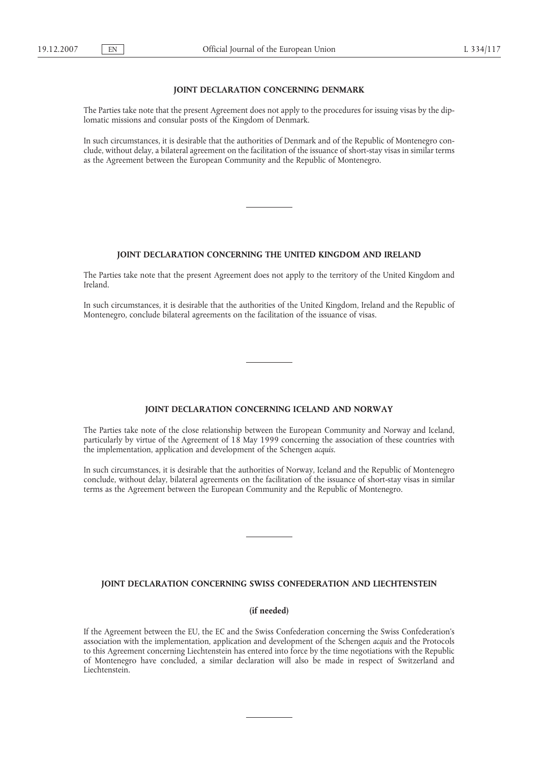### **JOINT DECLARATION CONCERNING DENMARK**

The Parties take note that the present Agreement does not apply to the procedures for issuing visas by the diplomatic missions and consular posts of the Kingdom of Denmark.

In such circumstances, it is desirable that the authorities of Denmark and of the Republic of Montenegro conclude, without delay, a bilateral agreement on the facilitation of the issuance of short-stay visas in similar terms as the Agreement between the European Community and the Republic of Montenegro.

## **JOINT DECLARATION CONCERNING THE UNITED KINGDOM AND IRELAND**

The Parties take note that the present Agreement does not apply to the territory of the United Kingdom and Ireland.

In such circumstances, it is desirable that the authorities of the United Kingdom, Ireland and the Republic of Montenegro, conclude bilateral agreements on the facilitation of the issuance of visas.

### **JOINT DECLARATION CONCERNING ICELAND AND NORWAY**

The Parties take note of the close relationship between the European Community and Norway and Iceland, particularly by virtue of the Agreement of 18 May 1999 concerning the association of these countries with the implementation, application and development of the Schengen *acquis*.

In such circumstances, it is desirable that the authorities of Norway, Iceland and the Republic of Montenegro conclude, without delay, bilateral agreements on the facilitation of the issuance of short-stay visas in similar terms as the Agreement between the European Community and the Republic of Montenegro.

## **JOINT DECLARATION CONCERNING SWISS CONFEDERATION AND LIECHTENSTEIN**

# **(if needed)**

If the Agreement between the EU, the EC and the Swiss Confederation concerning the Swiss Confederation's association with the implementation, application and development of the Schengen *acquis* and the Protocols to this Agreement concerning Liechtenstein has entered into force by the time negotiations with the Republic of Montenegro have concluded, a similar declaration will also be made in respect of Switzerland and Liechtenstein.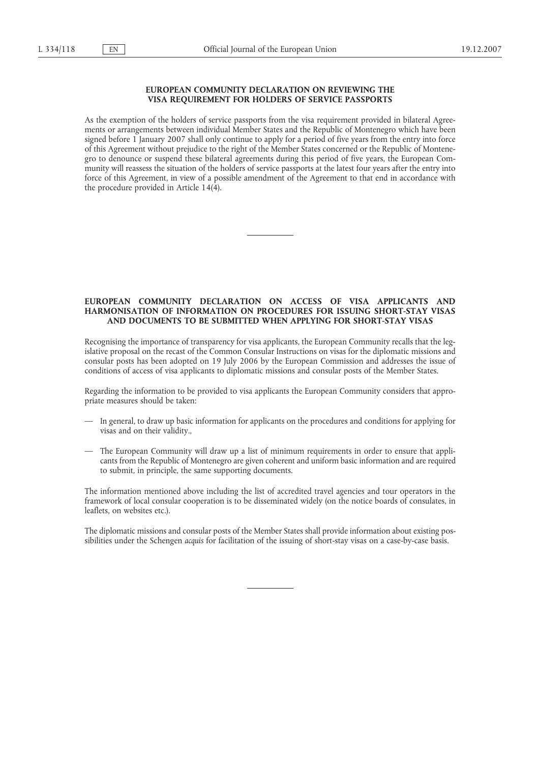## **EUROPEAN COMMUNITY DECLARATION ON REVIEWING THE VISA REQUIREMENT FOR HOLDERS OF SERVICE PASSPORTS**

As the exemption of the holders of service passports from the visa requirement provided in bilateral Agreements or arrangements between individual Member States and the Republic of Montenegro which have been signed before 1 January 2007 shall only continue to apply for a period of five years from the entry into force of this Agreement without prejudice to the right of the Member States concerned or the Republic of Montenegro to denounce or suspend these bilateral agreements during this period of five years, the European Community will reassess the situation of the holders of service passports at the latest four years after the entry into force of this Agreement, in view of a possible amendment of the Agreement to that end in accordance with the procedure provided in Article 14(4).

## **EUROPEAN COMMUNITY DECLARATION ON ACCESS OF VISA APPLICANTS AND HARMONISATION OF INFORMATION ON PROCEDURES FOR ISSUING SHORT-STAY VISAS AND DOCUMENTS TO BE SUBMITTED WHEN APPLYING FOR SHORT-STAY VISAS**

Recognising the importance of transparency for visa applicants, the European Community recalls that the legislative proposal on the recast of the Common Consular Instructions on visas for the diplomatic missions and consular posts has been adopted on 19 July 2006 by the European Commission and addresses the issue of conditions of access of visa applicants to diplomatic missions and consular posts of the Member States.

Regarding the information to be provided to visa applicants the European Community considers that appropriate measures should be taken:

- In general, to draw up basic information for applicants on the procedures and conditions for applying for visas and on their validity.,
- The European Community will draw up a list of minimum requirements in order to ensure that applicants from the Republic of Montenegro are given coherent and uniform basic information and are required to submit, in principle, the same supporting documents.

The information mentioned above including the list of accredited travel agencies and tour operators in the framework of local consular cooperation is to be disseminated widely (on the notice boards of consulates, in leaflets, on websites etc.).

The diplomatic missions and consular posts of the Member States shall provide information about existing possibilities under the Schengen *acquis* for facilitation of the issuing of short-stay visas on a case-by-case basis.